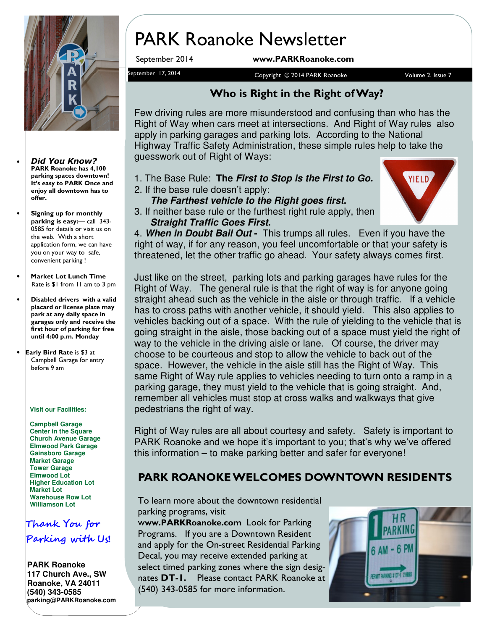

- Did You Know? PARK Roanoke has 4,100 parking spaces downtown! It's easy to PARK Once and enjoy all downtown has to offer.
- Signing up for monthly parking is easy:— call 343- 0585 for details or visit us on the web. With a short application form, we can have you on your way to safe, convenient parking !
- Market Lot Lunch Time Rate is \$1 from 11 am to 3 pm
- Disabled drivers with a valid placard or license plate may park at any daily space in garages only and receive the first hour of parking for free until 4:00 p.m. Monday
- Early Bird Rate is \$3 at Campbell Garage for entry before 9 am

#### **Visit our Facilities:**

**Campbell Garage Center in the Square Church Avenue Garage Elmwood Park Garage Gainsboro Garage Market Garage Tower Garage Elmwood Lot Higher Education Lot Market Lot Warehouse Row Lot Williamson Lot**

## Thank You for Parking with Us!

#### **PARK Roanoke 117 Church Ave., SW Roanoke, VA 24011 (540) 343-0585 parking@PARKRoanoke.com**

## PARK Roanoke Newsletter

September 2014 www.PARKRoanoke.com

September 17, 2014 **September 17, 2014** September 17, 2014 Copyright © 2014 PARK Roanoke

#### Who is Right in the Right of Way?

Few driving rules are more misunderstood and confusing than who has the Right of Way when cars meet at intersections. And Right of Way rules also apply in parking garages and parking lots. According to the National Highway Traffic Safety Administration, these simple rules help to take the guesswork out of Right of Ways:

- 1. The Base Rule: **The First to Stop is the First to Go.**
- 2. If the base rule doesn't apply:
- **The Farthest vehicle to the Right goes first.**  3. If neither base rule or the furthest right rule apply, then **Straight Traffic Goes First.**



4. **When in Doubt Bail Out -** This trumps all rules. Even if you have the right of way, if for any reason, you feel uncomfortable or that your safety is threatened, let the other traffic go ahead. Your safety always comes first.

Just like on the street, parking lots and parking garages have rules for the Right of Way. The general rule is that the right of way is for anyone going straight ahead such as the vehicle in the aisle or through traffic. If a vehicle has to cross paths with another vehicle, it should yield. This also applies to vehicles backing out of a space. With the rule of yielding to the vehicle that is going straight in the aisle, those backing out of a space must yield the right of way to the vehicle in the driving aisle or lane. Of course, the driver may choose to be courteous and stop to allow the vehicle to back out of the space. However, the vehicle in the aisle still has the Right of Way. This same Right of Way rule applies to vehicles needing to turn onto a ramp in a parking garage, they must yield to the vehicle that is going straight. And, remember all vehicles must stop at cross walks and walkways that give pedestrians the right of way.

Right of Way rules are all about courtesy and safety. Safety is important to PARK Roanoke and we hope it's important to you; that's why we've offered this information – to make parking better and safer for everyone!

#### PARK ROANOKE WELCOMES DOWNTOWN RESIDENTS

To learn more about the downtown residential parking programs, visit

www.PARKRoanoke.com Look for Parking Programs. If you are a Downtown Resident and apply for the On-street Residential Parking Decal, you may receive extended parking at select timed parking zones where the sign designates **DT-1.** Please contact PARK Roanoke at (540) 343-0585 for more information.